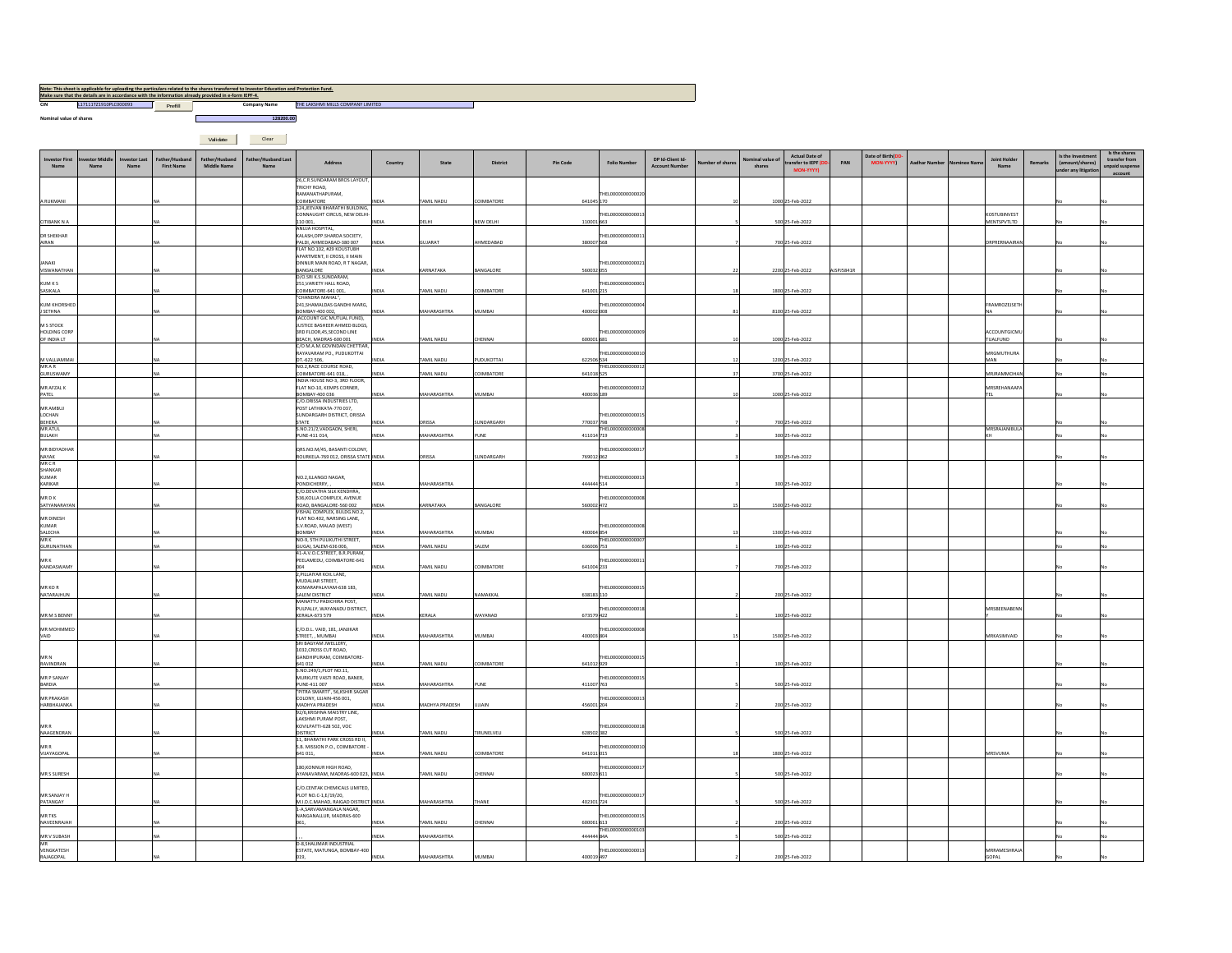| CIN                       | L17111T21910PLC000093 Prefill |             |                   | Make sure that the details are in accordance with the information already provided in e-form IEPF-4. |                     | THE LAKSHMI MILLS COMPANY LIMITED                               |              |                    |                   |            |                         |                       |                |                  |                                          |            |                  |                     |         |                     |                |                                         |                 |
|---------------------------|-------------------------------|-------------|-------------------|------------------------------------------------------------------------------------------------------|---------------------|-----------------------------------------------------------------|--------------|--------------------|-------------------|------------|-------------------------|-----------------------|----------------|------------------|------------------------------------------|------------|------------------|---------------------|---------|---------------------|----------------|-----------------------------------------|-----------------|
|                           |                               |             |                   |                                                                                                      | <b>Company Name</b> |                                                                 |              |                    |                   |            |                         |                       |                |                  |                                          |            |                  |                     |         |                     |                |                                         |                 |
| Nominal value of shares   |                               |             |                   |                                                                                                      | 128200.00           |                                                                 |              |                    |                   |            |                         |                       |                |                  |                                          |            |                  |                     |         |                     |                |                                         |                 |
|                           |                               |             |                   |                                                                                                      |                     |                                                                 |              |                    |                   |            |                         |                       |                |                  |                                          |            |                  |                     |         |                     |                |                                         |                 |
|                           |                               |             |                   | Validate                                                                                             | Clear               |                                                                 |              |                    |                   |            |                         |                       |                |                  |                                          |            |                  |                     |         |                     |                |                                         |                 |
|                           |                               |             |                   |                                                                                                      |                     |                                                                 |              |                    |                   |            |                         |                       |                |                  |                                          |            |                  |                     |         |                     |                |                                         | Is the shares   |
| nvestor First             |                               | restor Last | ther/Unchan       | Father/Husbane                                                                                       | ather/Husband Last  |                                                                 |              |                    |                   |            |                         | DP Id-Client Id-      |                | lominal value of | Actual Date of                           |            | Date of Birth(DD |                     |         | <b>Joint Holder</b> |                | Is the Investment                       | transfer from   |
|                           |                               |             | <b>First Name</b> | <b>Middle Name</b>                                                                                   |                     | Address                                                         | Country      | State              | District          | Pin Code   | <b>Folio Number</b>     | <b>Account Number</b> | umber of share | shares           | transfer to IEPF (I<br><b>MON-YYYYY)</b> | PAN        | MON-YYYYY        | <b>Aadhar Numbe</b> | inee Na |                     | <b>Remarks</b> | (amount/shares)<br>under any litigation | unpaid suspense |
|                           |                               |             |                   |                                                                                                      |                     | 26, C.R.SUNDARAM BROS LAYOUT                                    |              |                    |                   |            |                         |                       |                |                  |                                          |            |                  |                     |         |                     |                |                                         | account         |
|                           |                               |             |                   |                                                                                                      |                     | RICHY ROAD,                                                     |              |                    |                   |            |                         |                       |                |                  |                                          |            |                  |                     |         |                     |                |                                         |                 |
|                           |                               |             |                   |                                                                                                      |                     | RAMANATHAPURAM.                                                 |              |                    |                   |            | THEL000000000002        |                       |                |                  |                                          |            |                  |                     |         |                     |                |                                         |                 |
| A RUKMANI                 |                               |             |                   |                                                                                                      |                     | OIMBATORE<br>124.JEEVAN BHARATHI BUILDING                       | <b>DIA</b>   | <b>LIGAN IIMAT</b> | COIMRATORE        | 641045170  |                         |                       |                |                  | 1000 25-Feb-2022                         |            |                  |                     |         |                     |                |                                         |                 |
|                           |                               |             |                   |                                                                                                      |                     | CONNAUGHT CIRCUS, NEW DELHI-                                    |              |                    |                   |            | THEL000000000001        |                       |                |                  |                                          |            |                  |                     |         | KOSTURINVEST        |                |                                         |                 |
| CITIBANK N A              |                               |             |                   |                                                                                                      |                     | 110 001.<br>ANUJA HOSPITAL,                                     | <b>INDIA</b> | DELHI              | NEW DELHI         | 110001 663 |                         |                       |                |                  | 500 25-Feb-2022                          |            |                  |                     |         | MENTSPVTLTD         |                |                                         |                 |
| <b>DR SHEKHAR</b>         |                               |             |                   |                                                                                                      |                     | KALASH, OPP.SHARDA SOCIETY,                                     |              |                    |                   |            | HEL000000000001         |                       |                |                  |                                          |            |                  |                     |         |                     |                |                                         |                 |
| AIRAN                     |                               |             |                   |                                                                                                      |                     | PALDI, AHMEDABAD-380 007                                        | <b>INDIA</b> | GUJARAT            | AHMEDABAD         | 380007568  |                         |                       |                |                  | 700 25-Feb-2022                          |            |                  |                     |         | DRPRERNAAIRAN       |                |                                         |                 |
|                           |                               |             |                   |                                                                                                      |                     | FLAT NO.102, #29 KOUSTUBH<br>APARTMENT II CROSS II MAIN         |              |                    |                   |            |                         |                       |                |                  |                                          |            |                  |                     |         |                     |                |                                         |                 |
| <b>JANAKI</b>             |                               |             |                   |                                                                                                      |                     | DINNUR MAIN ROAD, R T NAGAR.                                    |              |                    |                   |            | THEL000000000002        |                       |                |                  |                                          |            |                  |                     |         |                     |                |                                         |                 |
| VISWANATHAN               |                               |             |                   |                                                                                                      |                     | <b>BANGALORE</b><br>D/O.SRI K.S.SUNDARAM.                       | <b>INDIA</b> | KARNATAKA          | <b>RANGALORE</b>  | 560032055  |                         |                       |                |                  | 2200 25-Feb-2022                         | AJSPJ5841R |                  |                     |         |                     |                |                                         |                 |
| KUM K S                   |                               |             |                   |                                                                                                      |                     | 251, VARIETY HALL ROAD,                                         |              |                    |                   |            | THEL000000000000        |                       |                |                  |                                          |            |                  |                     |         |                     |                |                                         |                 |
| SASIKALA                  |                               |             |                   |                                                                                                      |                     | COIMBATORE-641 001,                                             | NDIA.        | AMIL NADU          | COIMBATORE        | 641001215  |                         |                       |                |                  | 1800 25-Feb-2022                         |            |                  |                     |         |                     |                |                                         |                 |
| <b>KUM KHORSHED</b>       |                               |             |                   |                                                                                                      |                     | "CHANDRA MAHAL",<br>241, SHAMALDAS GANDHI MARG,                 |              |                    |                   |            | THEL000000000000        |                       |                |                  |                                          |            |                  |                     |         | FRAMROZEJSETH       |                |                                         |                 |
| J SETHNA                  |                               |             |                   |                                                                                                      |                     | BOMBAY-400 002,                                                 | <b>INDIA</b> | MAHARASHTRA        | MUMBAI            | 400002 008 |                         |                       |                |                  | 8100 25-Feb-2022                         |            |                  |                     |         | NA.                 |                |                                         |                 |
| M S STOCK                 |                               |             |                   |                                                                                                      |                     | (ACCOUNT GIC MUTUAL FUND).<br>JUSTICE BASHEER AHMED BLDGS.      |              |                    |                   |            |                         |                       |                |                  |                                          |            |                  |                     |         |                     |                |                                         |                 |
| <b>HOLDING CORP</b>       |                               |             |                   |                                                                                                      |                     | 3RD FLOOR 45 SECOND LINE                                        |              |                    |                   |            | THEL000000000000        |                       |                |                  |                                          |            |                  |                     |         | ACCOUNTGICML        |                |                                         |                 |
| OF INDIA LT               |                               |             |                   |                                                                                                      |                     | BEACH, MADRAS-600 001<br>C/O M.A.M.GOVINDAN CHETTIAR,           | INDIA        | TAMIL NADU         | CHENNAI           | 600001681  |                         |                       |                |                  | 1000 25-Feb-2022                         |            |                  |                     |         | TUALFUND            |                |                                         |                 |
|                           |                               |             |                   |                                                                                                      |                     | RAYAVARAM PO., PUDUKOTTAI                                       |              |                    |                   |            | HEL000000000001         |                       |                |                  |                                          |            |                  |                     |         | MRGMUTHURA          |                |                                         |                 |
| M VALLIAMMA               |                               |             |                   |                                                                                                      |                     | DT .- 622 506,                                                  | <b>INDIA</b> | TAMIL NADU         | PUDUKOTTAI        | 622506 534 |                         |                       |                |                  | 1200 25-Feb-2022                         |            |                  |                     |         | MAN                 |                |                                         |                 |
| MRAR<br>GURUSWAMY         |                               |             |                   |                                                                                                      |                     | NO.2.RACE COURSE ROAD.<br>COIMBATORE-641 018.                   | NDIA.        | TAMIL NADU         | COIMBATORE        | 641018 525 | THEL000000000001        |                       |                |                  | 3700 25-Feb-2022                         |            |                  |                     |         | MRJRAMMOHA          |                |                                         |                 |
|                           |                               |             |                   |                                                                                                      |                     | INDIA HOUSE NO-3, 3RD FLOOR.                                    |              |                    |                   |            |                         |                       |                |                  |                                          |            |                  |                     |         |                     |                |                                         |                 |
| MR AFZAL K<br>PATEL       |                               |             |                   |                                                                                                      |                     | FLAT NO-10, KEMPS CORNER,<br>BOMBAY-400 036                     | <b>INDIA</b> | MAHARASHTRA        | MUMBAL            | 400036 189 | THEI 000000000001       |                       |                |                  | 1000 25-Feb-2022                         |            |                  |                     |         | MRSREHANAAP<br>TFI  |                |                                         |                 |
|                           |                               |             |                   |                                                                                                      |                     | C/O.ORISSA INDUSTRIES LTD,                                      |              |                    |                   |            |                         |                       |                |                  |                                          |            |                  |                     |         |                     |                |                                         |                 |
| MR AMBUJ<br>LOCHAN        |                               |             |                   |                                                                                                      |                     | POST LATHIKATA-770 037,<br>SUNDARGARH DISTRICT, ORISSA          |              |                    |                   |            | THEL0000000000015       |                       |                |                  |                                          |            |                  |                     |         |                     |                |                                         |                 |
| BEHERA                    |                               |             |                   |                                                                                                      |                     | STATE                                                           | <b>INDIA</b> | ORISSA             | <b>JUNDARGARH</b> | 770037 798 |                         |                       |                |                  | 700 25-Feb-2022                          |            |                  |                     |         |                     |                |                                         |                 |
| MR ATUL<br>BULAKH         |                               |             |                   |                                                                                                      |                     | S.NO.21/2, VADGAON, SHERI,<br>PUNE-411 014.                     | INDIA        | MAHARASHTRA        | PUNE              | 411014 719 | THEL0000000000008       |                       |                |                  | 300 25-Feb-2022                          |            |                  |                     |         | MRSRAJANIBULA<br>KН |                |                                         |                 |
|                           |                               |             |                   |                                                                                                      |                     |                                                                 |              |                    |                   |            |                         |                       |                |                  |                                          |            |                  |                     |         |                     |                |                                         |                 |
| MR BIDYADHAF              |                               |             |                   |                                                                                                      |                     | ORS.NO.M/45, BASANTI COLONY.                                    |              |                    |                   |            | <b>EHELO00000000001</b> |                       |                |                  |                                          |            |                  |                     |         |                     |                |                                         |                 |
| <b>NAYAK</b><br>MRCR      |                               |             |                   |                                                                                                      |                     | ROURKELA-769 012, ORISSA STATE INDIA                            |              | ORISSA             | <b>JUNDARGARH</b> | 769012062  |                         |                       |                |                  | 300 25-Feb-2022                          |            |                  |                     |         |                     |                |                                         |                 |
| SHANKAR                   |                               |             |                   |                                                                                                      |                     |                                                                 |              |                    |                   |            |                         |                       |                |                  |                                          |            |                  |                     |         |                     |                |                                         |                 |
| KUMAR<br>KARIKAR          |                               |             |                   |                                                                                                      |                     | NO.2, ILLANGO NAGAR,<br>PONDICHERRY,,                           | NDIA         | MAHARASHTRA        |                   | 444444 514 | THEL0000000000013       |                       |                |                  | 300 25-Feb-2022                          |            |                  |                     |         |                     |                |                                         |                 |
|                           |                               |             |                   |                                                                                                      |                     | C/O.DEVATHA SILK KENDHRA.                                       |              |                    |                   |            |                         |                       |                |                  |                                          |            |                  |                     |         |                     |                |                                         |                 |
| MR D K<br>SATYANARAYA     |                               |             |                   |                                                                                                      |                     | <b>536 KOLLA COMPLEX AVENUE</b><br>ROAD, BANGALORE-560 002      | INDIA        | KARNATAKA          | BANGALORE         | 560002472  | <b>EHELODOOOOOOOOOO</b> |                       |                |                  | 1500 25-Feb-2022                         |            |                  |                     |         |                     |                |                                         |                 |
|                           |                               |             |                   |                                                                                                      |                     | VISHAL COMPLEX, BULDG.NO.2,                                     |              |                    |                   |            |                         |                       |                |                  |                                          |            |                  |                     |         |                     |                |                                         |                 |
| MR DINESH<br>KUMAR        |                               |             |                   |                                                                                                      |                     | FLAT NO.402, NARSING LANE,<br>S.V.ROAD, MALAD (WEST)            |              |                    |                   |            | THEL000000000000        |                       |                |                  |                                          |            |                  |                     |         |                     |                |                                         |                 |
| SALECHA                   |                               |             |                   |                                                                                                      |                     | BOMBAY                                                          | INDIA        | MAHARASHTRA        | MUMBAI            | 400064854  |                         |                       |                |                  | 1300 25-Feb-2022                         |            |                  |                     |         |                     |                |                                         |                 |
| MR K                      |                               |             |                   |                                                                                                      |                     | NO-9, STH PULIKUTHI STREET,<br>GUGAI, SALEM-636 006.            | NDIA         | TAMIL NADU         | SALEM             | 636006 753 | THEL000000000000        |                       |                |                  | 100 25-Feb-2022                          |            |                  |                     |         |                     |                |                                         |                 |
| GURUNATHAN                |                               |             |                   |                                                                                                      |                     | 41-A.V.O.C.STREET, B.R.PURAM.                                   |              |                    |                   |            |                         |                       |                |                  |                                          |            |                  |                     |         |                     |                |                                         |                 |
| MR K                      |                               |             |                   |                                                                                                      |                     | PEELAMEDU, COIMBATORE-641<br>004                                | <b>AIONI</b> | TAMIL NADU         | COIMBATORE        | 641004 233 | THEI 000000000001       |                       |                |                  | 700 25-Feb-2022                          |            |                  |                     |         |                     |                |                                         |                 |
| KANDASWAMY                |                               |             |                   |                                                                                                      |                     | 2, PILLAIYAR KOIL LANE,                                         |              |                    |                   |            |                         |                       |                |                  |                                          |            |                  |                     |         |                     |                |                                         |                 |
|                           |                               |             |                   |                                                                                                      |                     | MUDALIAR STREET,                                                |              |                    |                   |            |                         |                       |                |                  |                                          |            |                  |                     |         |                     |                |                                         |                 |
| MR KO R<br>NATARAJHUN     |                               |             |                   |                                                                                                      |                     | KOMARAPALAYAM-638 183,<br>SALEM DISTRICT                        | <b>INDIA</b> | TAMIL NADU         | NAMAKKAL          | 638183 110 | THEL000000000001        |                       |                |                  | 200 25-Feb-2022                          |            |                  |                     |         |                     |                |                                         |                 |
|                           |                               |             |                   |                                                                                                      |                     | MANATTU PADICHIRA POST.                                         |              |                    |                   |            |                         |                       |                |                  |                                          |            |                  |                     |         |                     |                |                                         |                 |
| MR M S BENNY              |                               |             |                   |                                                                                                      |                     | PULPALLY, WAYANADU DISTRICT<br>KERALA-673 579                   | <b>INDIA</b> | <b>KERALA</b>      | WAYANAD           | 673579422  | HEL000000000001         |                       |                |                  | 100 25-Feb-2022                          |            |                  |                     |         | MRSBEENABENN        |                |                                         |                 |
|                           |                               |             |                   |                                                                                                      |                     |                                                                 |              |                    |                   |            |                         |                       |                |                  |                                          |            |                  |                     |         |                     |                |                                         |                 |
| MR MOHMMED<br>VAID        |                               |             |                   |                                                                                                      |                     | C/O.D.L. VAID, 181, JANJIKAR<br>STREET, , MUMBAI                | NDIA.        | MAHARASHTRA        | MUMBAI            | 400003 804 | THEL00000000000         |                       |                |                  | 1500 25-Feb-2022                         |            |                  |                     |         | MRKASIMVAID         |                |                                         |                 |
|                           |                               |             |                   |                                                                                                      |                     | SRI BAGYAM JWELLERY,                                            |              |                    |                   |            |                         |                       |                |                  |                                          |            |                  |                     |         |                     |                |                                         |                 |
| MR N                      |                               |             |                   |                                                                                                      |                     | 1032, CROSS CUT ROAD,<br>GANDHIPURAM, COIMBATORE-               |              |                    |                   |            | THEL000000000001        |                       |                |                  |                                          |            |                  |                     |         |                     |                |                                         |                 |
| RAVINDRAN                 |                               |             |                   |                                                                                                      |                     | 641 012                                                         | <b>INDIA</b> | TAMIL NADU         | COIMBATORE        | 641012929  |                         |                       |                |                  | 100 25-Feb-2022                          |            |                  |                     |         |                     |                |                                         |                 |
|                           |                               |             |                   |                                                                                                      |                     | S NO 249/1 PLOT NO 11                                           |              |                    |                   |            |                         |                       |                |                  |                                          |            |                  |                     |         |                     |                |                                         |                 |
| MR P SANJAY<br>BARDIA     |                               |             |                   |                                                                                                      |                     | MURKUTE VASTI ROAD, BANER,<br>PLINE-411 007                     | NDIA         | <b>MAHARASHTRA</b> | PUNE              | 411007 763 | THEL000000000001        |                       |                |                  | 500 25-Feb-2022                          |            |                  |                     |         |                     |                |                                         |                 |
|                           |                               |             |                   |                                                                                                      |                     | "PITRA SMARTI", 56,KSHIR SAGAR                                  |              |                    |                   |            |                         |                       |                |                  |                                          |            |                  |                     |         |                     |                |                                         |                 |
| MR PRAKASH<br>HARBHAJANKA |                               |             |                   |                                                                                                      |                     | COLONY, UJJAIN-456 001,<br>MADHYA PRADESH                       | INDIA        | MADHYA PRADESH     | UJJAIN            | 456001 204 | THEL000000000001        |                       |                |                  | 200 25-Feb-2022                          |            |                  |                     |         |                     |                |                                         |                 |
|                           |                               |             |                   |                                                                                                      |                     | 92/6, KRISHNA MAISTRY LINE,                                     |              |                    |                   |            |                         |                       |                |                  |                                          |            |                  |                     |         |                     |                |                                         |                 |
| MR R                      |                               |             |                   |                                                                                                      |                     | LAKSHMI PURAM POST.<br>KOVILPATTI-628 502, VOC                  |              |                    |                   |            | THEI 0000000000011      |                       |                |                  |                                          |            |                  |                     |         |                     |                |                                         |                 |
| NAAGENDRAN                |                               |             |                   |                                                                                                      |                     | <b>DISTRICT</b>                                                 | <b>IDIA</b>  | TAMIL NADU         | TIRUNELVELI       | 628502 382 |                         |                       |                |                  | 500 25-Feb-2022                          |            |                  |                     |         |                     |                |                                         |                 |
| MR R                      |                               |             |                   |                                                                                                      |                     | 11. BHARATHI PARK CROSS RD II.<br>S.B. MISSION P.O., COIMBATORE |              |                    |                   |            | <b>EHELODOOOOOOOOO1</b> |                       |                |                  |                                          |            |                  |                     |         |                     |                |                                         |                 |
| VIJAYAGOPAL               |                               |             |                   |                                                                                                      |                     | 641 011,                                                        | INDIA        | TAMIL NADU         | COIMBATORE        | 641011015  |                         |                       |                |                  | 1800 25-Feb-2022                         |            |                  |                     |         | <b>IRSVIIMA</b>     |                |                                         |                 |

THEL0000000000017611

THEL0000000000015613

L00000000001

THEL0000000000013497

<sup>2</sup> <sup>200</sup> 25-Feb-2022

There

600061<br>444444

<u>1 | No No No</u>

4 5 500|25-Feb-2022 No No

<sup>2</sup> <sup>200</sup> 25-Feb-2022 No No

<sup>5</sup> <sup>500</sup> 25-Feb-2022 No No

RAMESHRAJ

GOPAL No No

180,KONNUR HIGH ROAD, AYANAVARAM, MADRAS-600 023, INDIA TAMIL NADU CHENNAI <sup>600023</sup>

C/O.CENTAK CHEMICALS LIMITED, PLOT NO.C-1,E/19/20, M.I.D.C.MAHAD, RAIGAD DISTRICT INDIA MAHARASHTRA THANE <sup>402301</sup>

061, INDIA TAMIL NADU CHENNAI | 600061

019, INDIA MAHARASHTRA MUMBAI 400019

1-A,SARVAMANGALA NAGAR, NANGANALLUR, MADRAS-600

D-8,SHALIMAR INDUSTRIAL ESTATE, MATUNGA, BOMBAY-400

, , , INDIA MAHARASHTRA <sup>444444</sup>

**Note: This sheet is applicable for uploading the particulars related to the shares transferred to Investor Education and Protection Fund.** 

MR S SURESH NA

MR SANJAY H<br>PATANGAY NAMR THE SAN<br>MR TKS NAVEENRAJAH NAMR THE SANJAY NAMR THE SANJAH NAMA

MR V SUBASH NAMR V SUBASH NAMR V SUBASH NAMR V SUBASH NAMR V SUBASH NAMR V SUBASH NAMR V SUBASH NAMR V SUBASH <br>Mar

L<sub>and</sub> MA

VENGKATESH RAJAGOPAL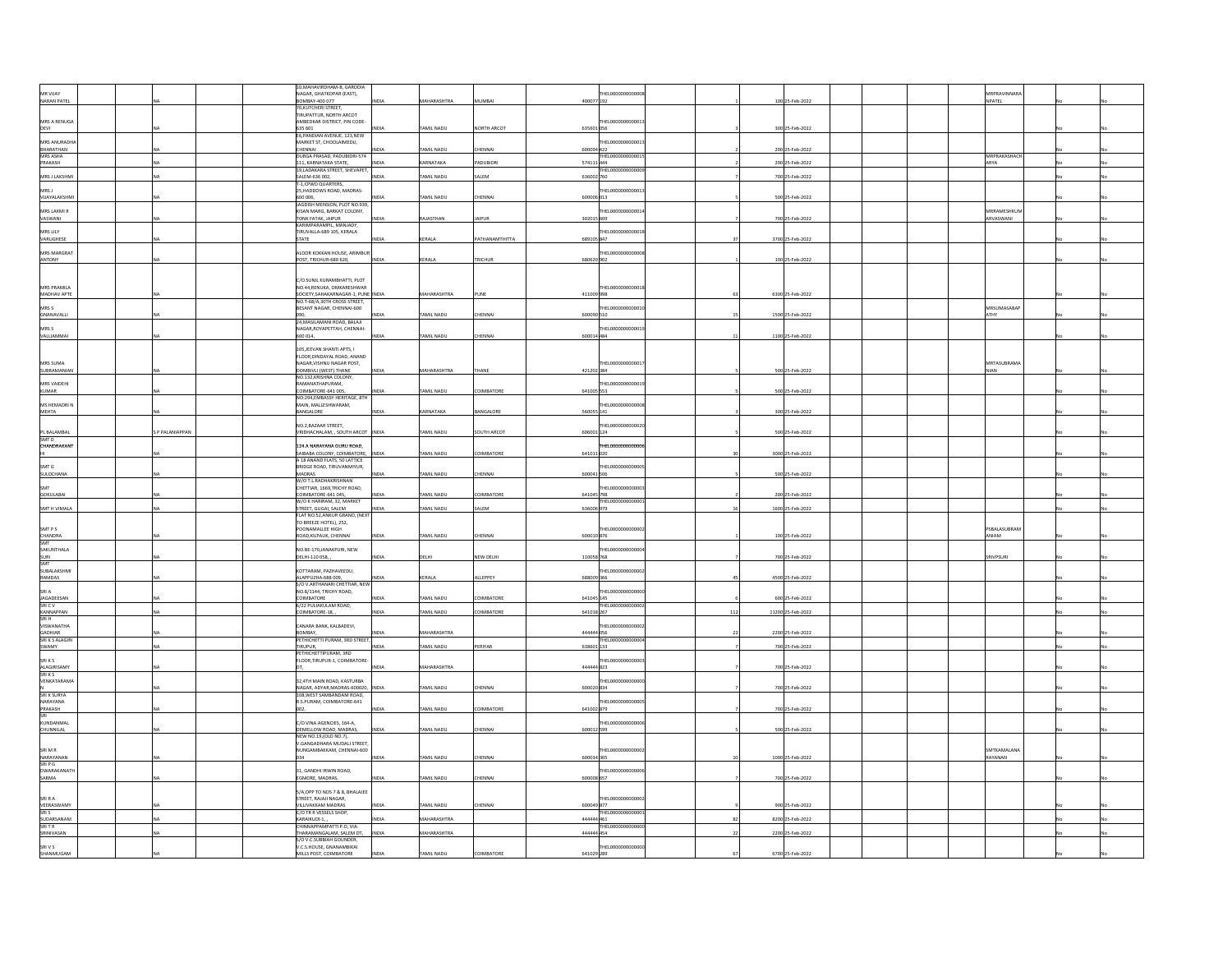|                                                                                            |                 | 10.MAHAVIRDHAM-B. GARODIA                                                      |             |                    |                  |            |                   |     |                   |  |                                  |  |  |
|--------------------------------------------------------------------------------------------|-----------------|--------------------------------------------------------------------------------|-------------|--------------------|------------------|------------|-------------------|-----|-------------------|--|----------------------------------|--|--|
|                                                                                            |                 | NAGAR, GHATKOPAR (EAST),                                                       |             |                    |                  |            | THEL000000000000  |     |                   |  | MRPRAVINNARA                     |  |  |
| MR VIJAY<br>NARAN PATEL                                                                    |                 | BOMBAY-400 077                                                                 |             | <b>ASHTRA</b>      |                  | 400077 192 |                   |     | 100 25-Feb-2022   |  | NPATEL                           |  |  |
|                                                                                            |                 | 70.KUTCHERI STREET<br>TIRUPATTUR, NORTH ARCOT                                  |             |                    |                  |            |                   |     |                   |  |                                  |  |  |
| MRS A RENUGA                                                                               |                 | AMBEDKAR DISTRICT, PIN CODE-                                                   |             |                    |                  |            | 'HEL000000000001  |     |                   |  |                                  |  |  |
| DEVI                                                                                       |                 | 635 601                                                                        | <b>DIA</b>  | AMIL NADU          | NORTH ARCOT      | 635601056  |                   |     | 300 25-Feb-2022   |  |                                  |  |  |
|                                                                                            |                 | E6, PANDIAN AVENUE, 123, NEW<br>MARKET ST, CHOOLAIMEDU,                        |             |                    |                  |            | EL000000000001    |     |                   |  |                                  |  |  |
| MRS ANURADHA<br>BHARATHAN<br>MRS ASHA                                                      |                 | CHENNAL                                                                        | <b>IDIA</b> | <b>FAMIL NADU</b>  | CHENNAL          | 600094 422 |                   |     | 200 25-Feb-2022   |  |                                  |  |  |
| PRAKASH                                                                                    |                 | DURGA PRASAD, PADUBIDRI-574<br>111, KARNATAKA STATE,                           | AIGV        | <b>ARNATAKA</b>    | ADUBIDRI         | 574111 444 | THEL000000000001  |     | 200 25-Feb-2022   |  | MRPRAKASHACH<br>ARYA             |  |  |
|                                                                                            |                 | 19,LADAKARA STREET, SHEVAPET                                                   |             |                    |                  |            | THEI 000000000000 |     |                   |  |                                  |  |  |
| MRS J LAKSHMI                                                                              |                 | SALEM-636 002.<br>T-1, CPWD QUARTERS,                                          | AIGV        | <b>FAMIL NADU</b>  | SALEM            | 636002 760 |                   |     | 700 25-Feb-2022   |  |                                  |  |  |
| MRS J<br>VIJAYALAKSHMI                                                                     |                 | 25, HADDOWS ROAD, MADRAS-                                                      |             |                    |                  |            | HELODOOOOOOOOO    |     |                   |  |                                  |  |  |
|                                                                                            |                 | 600 006.<br>JAGDISH MENSION, PLOT NO.939,                                      | VDIA        | <b>FAMIL NADU</b>  | CHENNAL          | 600006 013 |                   |     | 500 25-Feb-2022   |  |                                  |  |  |
| MRS LAXMI R                                                                                |                 | KISAN MARG, BARKAT COLONY,                                                     |             |                    |                  |            | HELODOOOOOOOO     |     |                   |  | <b>ADDAMESHKLIN</b>              |  |  |
| VASWANI                                                                                    |                 | <b>TONK FATAK, JAIPUR</b><br>RIMPARAMPIL, MANJADY                              | <b>DIA</b>  | <b>AJASTHAN</b>    | AIPUR            | 302015 609 |                   |     | 700 25-Feb-2022   |  | ARVASWANI                        |  |  |
| MRS LILY                                                                                   |                 | TIRUVALLA-689 105, KERALA                                                      |             |                    |                  |            | HELODOOOOOOOOO    |     |                   |  |                                  |  |  |
| VARUGHESE                                                                                  |                 | <b>STATE</b>                                                                   | NDIA        | KERALA             | PATHANAMTHITTA   | 689105847  |                   |     | 3700 25-Feb-2022  |  |                                  |  |  |
| MRS MARGRAT<br>ANTONY                                                                      |                 | ALOOR KOKKAN HOUSE, ARIMBU                                                     |             |                    |                  |            | THEI 00000000000  |     |                   |  |                                  |  |  |
|                                                                                            |                 | POST, TRICHUR-680 620,                                                         | INDIA       | KERALA             | TRICHUR          | 680620 902 |                   |     | 100 25-Feb-2022   |  |                                  |  |  |
|                                                                                            |                 |                                                                                |             |                    |                  |            |                   |     |                   |  |                                  |  |  |
|                                                                                            |                 | C/O.SUNIL KURAMBHATTI, PLOT<br>NO.44,RENUKA, OMKARESHWAR                       |             |                    |                  |            | HEL00000000000    |     |                   |  |                                  |  |  |
| MRS PRAMILA<br>MADHAV APTE                                                                 |                 | SOCIETY, SAHAKARNAGAR-1, PUNE                                                  | <b>IDIA</b> | <b>MAHARASHTRA</b> | UNE              | 411009 998 |                   |     | 6300 25-Feb-2022  |  |                                  |  |  |
|                                                                                            |                 | NO.T-68/A.30TH CROSS STREET<br>BESANT NAGAR, CHENNAI-600                       |             |                    |                  |            | HEL000000000001   |     |                   |  | MRSUMASABAR                      |  |  |
| MRS S<br>GNANAVALLI                                                                        |                 |                                                                                | <b>INA</b>  | <b>FAMIL NADU</b>  | <b>HENNAI</b>    | 600090 510 |                   |     | 1500 25-Feb-2022  |  | <b>ATHY</b>                      |  |  |
|                                                                                            |                 | 24, MASILAMANI ROAD, BALAJI<br>NAGAR, ROYAPETTAH, CHENNAI-                     |             |                    |                  |            | HEL000000000001   |     |                   |  |                                  |  |  |
| MRS S<br>VALLIAMMAL                                                                        |                 | 600 014.                                                                       | <b>IDIA</b> | TAMIL NADU         | CHENNAI          | 600014 484 |                   |     | 1100 25-Feb-2022  |  |                                  |  |  |
|                                                                                            |                 | 105, JEEVAN SHANTI APTS, I                                                     |             |                    |                  |            |                   |     |                   |  |                                  |  |  |
|                                                                                            |                 | FLOOR DINDAYAL ROAD, ANAND                                                     |             |                    |                  |            |                   |     |                   |  |                                  |  |  |
| MRS SUMA<br>SUBRAMANIA                                                                     |                 | NAGAR, VISHNU NAGAR POST,<br>DOMBIVLI (WEST) THANE                             |             | <b>HARASHTRA</b>   | HANE             |            | THEL000000000001  |     |                   |  | <b>MRTASUBRAM/</b><br><b>IAN</b> |  |  |
|                                                                                            |                 | NO 132 KRISHNA COLONY                                                          | NDIA        |                    |                  | 421202384  |                   |     | 500 25-Feb-2022   |  |                                  |  |  |
| <b>MRS VAIDEHI</b>                                                                         |                 | RAMANATHAPURAM.                                                                |             |                    |                  |            | THEL000000000001  |     |                   |  |                                  |  |  |
| KUMAR                                                                                      |                 | COIMBATORE-641 005<br>NO:294.EMBASSY HERITAGE, 8TH                             | <b>NDIA</b> | AMIL NADU          | <b>DIMBATORE</b> | 641005 553 |                   |     | 500 25-Feb-2022   |  |                                  |  |  |
| MS HEMADRI N                                                                               |                 | MAIN, MALLESHWARAM,                                                            |             |                    |                  |            | THEL00000000000   |     |                   |  |                                  |  |  |
| MEHTA                                                                                      |                 | BANGALORE                                                                      |             | ARNATAKA           | WGALORE          | 560055 141 |                   |     | 300 25-Feb-2022   |  |                                  |  |  |
|                                                                                            |                 | NO.2.BAZAAR STREET.                                                            |             |                    |                  |            | HEL0000000000     |     |                   |  |                                  |  |  |
| PL BALAMBAL<br>SMT D                                                                       | S P PALANIAPPAN | RIDHACHALAM, , SOUTH ARCOT                                                     | <b>IDIA</b> | AMIL NADU          | OUTH ARCOT       | 606001124  |                   |     | 500 25-Feb-2022   |  |                                  |  |  |
| CHANDRAKANT                                                                                |                 | 124.A NARAYANA GURU ROAD,                                                      |             |                    |                  |            |                   |     |                   |  |                                  |  |  |
|                                                                                            |                 | AIBABA COLONY, COIMBATORE,<br>A 18 ANAND FLATS, 50 LATTICE                     | <b>IDIA</b> | AMIL NADU          | <b>DIMBATORE</b> | 641011020  |                   |     | 3000 25-Feb-2022  |  |                                  |  |  |
| SMT G                                                                                      |                 | BRIDGE ROAD, TIRUVANMIYUR,                                                     |             |                    |                  |            | THEL00000000000   |     |                   |  |                                  |  |  |
|                                                                                            |                 |                                                                                |             |                    |                  |            |                   |     |                   |  |                                  |  |  |
| SULOCHANA                                                                                  |                 | MADRAS                                                                         |             | AMIL NADU          | HENNAL           | 600041506  |                   |     | 500 25-Feb-2022   |  |                                  |  |  |
| SMT                                                                                        |                 | W/O T.L.RADHAKRISHNAN<br>CHETTIAR, 1669,TRICHY ROAD,                           |             |                    |                  |            | THEL00000000000   |     |                   |  |                                  |  |  |
| GOKULABAI                                                                                  |                 | COIMBATORE-641 045,                                                            |             | MIL NADU           | <b>DIMBATORE</b> | 641045 798 |                   |     | 200 25-Feb-2022   |  |                                  |  |  |
| SMT H VIMALA                                                                               |                 | W/O K HARIRAM 32 MARKET<br>STREET, GUGAI, SALEM                                | NDIA        | <b>AMIL NADU</b>   | SALEM            | 636006 979 | THEL00000000000   |     | 1600 25-Feb-2022  |  |                                  |  |  |
|                                                                                            |                 | FLAT NO.52, ANKUR GRAND, (NEX                                                  |             |                    |                  |            |                   |     |                   |  |                                  |  |  |
| SMT P S                                                                                    |                 | TO BREEZE HOTEL), 252.<br>POONAMALLEE HIGH                                     |             |                    |                  |            | THEL00000000000   |     |                   |  | PSBALASUBRAN                     |  |  |
|                                                                                            |                 | ROAD, KILPAUK, CHENNA                                                          | <b>NDIA</b> | AMIL NADU          | HENNAI           | 600010876  |                   |     | 100 25-Feb-2022   |  | MANA                             |  |  |
| CHANDRA<br>SAKUNTHALA                                                                      |                 | NO.BE-170,JANAKPURI, NEW                                                       |             |                    |                  |            | THEL00000000000   |     |                   |  |                                  |  |  |
|                                                                                            |                 | DELHI-110 058, ,                                                               | <b>IDIA</b> | ELHI               | NEW DELHI        | 110058768  |                   |     | 700 25-Feb-2022   |  | RIVPSUR                          |  |  |
| SURI<br>SMT<br>SUBALAKSHMI                                                                 |                 | KOTTARAM, PAZHAVEEDU,                                                          |             |                    |                  |            | THEL00000000000   |     |                   |  |                                  |  |  |
| RAMDAS                                                                                     |                 | ALAPPUZHA-688 009,                                                             | NDIA        | KERALA             | ALLEPPEY         | 688009 366 |                   |     | 4500 25-Feb-2022  |  |                                  |  |  |
| SRI A                                                                                      |                 | S/O V.ARTHANARI CHETTIAR, NEW<br>NO.8/1144, TRICHY ROAD,                       |             |                    |                  |            | THEL00000000000   |     |                   |  |                                  |  |  |
|                                                                                            |                 | COIMBATORE                                                                     | <b>IDIA</b> | AMIL NADU          | <b>DIMBATORE</b> | 641045 145 |                   |     | 600 25-Feb-2022   |  |                                  |  |  |
|                                                                                            |                 | 6/22 PULIAKULAM ROAD,<br>COIMBATORE-18,,                                       | NDIA        | AMIL NADU          | <b>OIMBATORE</b> | 641018 267 | THELODOOOOOOOOO   | 112 | 11200 25-Feb-2022 |  |                                  |  |  |
|                                                                                            |                 |                                                                                |             |                    |                  |            |                   |     |                   |  |                                  |  |  |
|                                                                                            |                 | CANARA BANK, KALBADEVI,<br>BOMBAY,                                             | NDIA        | <b>MAHARASHTRA</b> |                  | 444444 056 | HEL00000000000    |     | 2200 25-Feb-2022  |  |                                  |  |  |
| JACADEESAN<br>SRICV<br>KANNAPPAN<br>SRIH<br>VISWANATHA<br><b>GADHIAR</b><br>SRI K S ALAGIR |                 | PETHICHETTI PURAM, 3RD STREET                                                  |             |                    |                  |            | <b>THEL00000</b>  |     |                   |  |                                  |  |  |
| SWAMY                                                                                      |                 | TIRUPUR<br>PETHICHETTIPURAM, 3RD                                               | <b>AIOL</b> | <b>TAMIL NADLL</b> | FRIVAR           | 638601 133 |                   |     | 700 25-Feb-2022   |  |                                  |  |  |
|                                                                                            |                 | FLOOR,TIRUPUR-1, COIMBATORE-                                                   |             |                    |                  |            | HELODOOOOOOOO     |     |                   |  |                                  |  |  |
|                                                                                            |                 |                                                                                | AIGV        | MAHARASHTRA        |                  | 444444 823 |                   |     | 700 25-Feb-2022   |  |                                  |  |  |
| SRI K S<br>ALAGIRISAMY<br>SRI K S<br>VENKATARAM                                            |                 | 32,4TH MAIN ROAD, KASTURBA                                                     |             |                    |                  |            | HELODOOOOOOOO     |     |                   |  |                                  |  |  |
|                                                                                            |                 | NAGAR, ADYAR, MADRAS-600020,                                                   | NDIA        | <b>TAMIL NADU</b>  | CHENNAL          | 600020 834 |                   |     | 700 25-Feb-2022   |  |                                  |  |  |
| N<br>SRI K SURYA<br>NARAYANA                                                               |                 | 108, WEST SAMBANDAM ROAD,<br>R.S.PURAM, COIMBATORE-641                         |             |                    |                  |            | THEI 000000000000 |     |                   |  |                                  |  |  |
|                                                                                            |                 | 002                                                                            | AIGV        | TAMIL NADU         | COIMBATORE       | 641002 879 |                   |     | 700 25-Feb-2022   |  |                                  |  |  |
| PRAKASH<br>SRI<br>KUNDANMAL                                                                |                 | C/O VINA AGENCIES, 164-A,                                                      |             |                    |                  |            | HELODOOOOOOOO     |     |                   |  |                                  |  |  |
| CHUNNILAL                                                                                  |                 | DEMELLOW ROAD, MADRAS,<br>NEW NO.19, (OLD NO.7),                               | <b>NDIA</b> | TAMIL NADU         | CHENNAL          | 600012 599 |                   |     | 500 25-Feb-2022   |  |                                  |  |  |
|                                                                                            |                 | V GANGADHARA MUDALI STREET                                                     |             |                    |                  |            |                   |     |                   |  |                                  |  |  |
|                                                                                            |                 | NUNGAMBAKKAM, CHENNAI-600                                                      | NDIA        |                    |                  |            | HEL00000000000    |     |                   |  | <b>SMTKAMALANA</b>               |  |  |
|                                                                                            |                 |                                                                                |             | <b>TAMIL NADU</b>  | CHENNAI          | 600034305  |                   |     | 1000 25-Feb-2022  |  | RAYANAN                          |  |  |
|                                                                                            |                 | 31. GANDHI IRWIN ROAD.                                                         |             |                    |                  |            | THEL00000000000   |     |                   |  |                                  |  |  |
| SARMA                                                                                      |                 | EGMORE, MADRAS,                                                                | NDIA        | <b>AMIL NADU</b>   | HENNAI           | 600008 657 |                   |     | 700 25-Feb-2022   |  |                                  |  |  |
|                                                                                            |                 | 5/A, OPP TO NOS 7 & 8, BHALAJEE                                                |             |                    |                  |            |                   |     |                   |  |                                  |  |  |
| SRI R A                                                                                    |                 | STREET, RAJAJI NAGAR,<br><b>ILLIVAKKAM MADRAS</b>                              |             | AMIL NADU          | <b>HENNAI</b>    | 600049877  | THEL000000000000  |     | 900 25-Feb-2022   |  |                                  |  |  |
| SRI M R<br>NARAYANAN<br>SRI P G<br>DWARAKANATH<br>VEERASWAMY<br>SRI S                      |                 | C/O TR R VESSELS SHOP.                                                         |             |                    |                  |            | THEL00000000000   |     |                   |  |                                  |  |  |
|                                                                                            |                 | ARAIKUDI-1,,<br>HINNAPPAMPATTI P.O. VIA-                                       | NDIA        | <b>HARASHTRA</b>   |                  | 444444 461 | THEL0000000000    |     | 8200 25-Feb-2022  |  |                                  |  |  |
| SUDARSANAM<br>SRI T R<br>SRINIVASAN                                                        |                 | THARAMANGALAM, SALEM DT,                                                       | INDIA       | MAHARASHTRA        |                  | 444444 454 |                   |     | 2200 25-Feb-2022  |  |                                  |  |  |
| SRI V S<br>SHANMUGAM                                                                       |                 | S/O V.C.SUBBIAH GOUNDER,<br>V.C.S.HOUSE, GNANAMBIKAI<br>MILLS POST, COIMBATORE | NDIA        | TAMIL NADU         | <b>OIMBATORE</b> | 641029 289 | THEI 000000000000 |     | 6700 25-Feb-2022  |  |                                  |  |  |